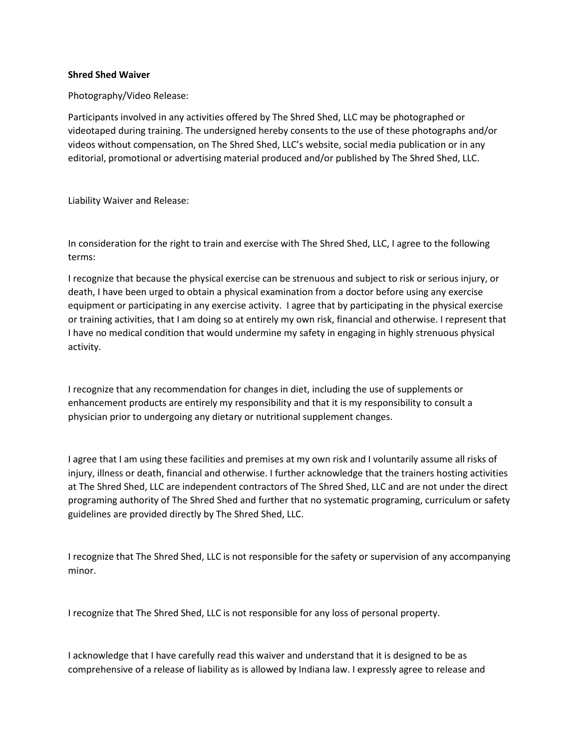## **Shred Shed Waiver**

Photography/Video Release:

Participants involved in any activities offered by The Shred Shed, LLC may be photographed or videotaped during training. The undersigned hereby consents to the use of these photographs and/or videos without compensation, on The Shred Shed, LLC's website, social media publication or in any editorial, promotional or advertising material produced and/or published by The Shred Shed, LLC.

Liability Waiver and Release:

In consideration for the right to train and exercise with The Shred Shed, LLC, I agree to the following terms:

I recognize that because the physical exercise can be strenuous and subject to risk or serious injury, or death, I have been urged to obtain a physical examination from a doctor before using any exercise equipment or participating in any exercise activity. I agree that by participating in the physical exercise or training activities, that I am doing so at entirely my own risk, financial and otherwise. I represent that I have no medical condition that would undermine my safety in engaging in highly strenuous physical activity.

I recognize that any recommendation for changes in diet, including the use of supplements or enhancement products are entirely my responsibility and that it is my responsibility to consult a physician prior to undergoing any dietary or nutritional supplement changes.

I agree that I am using these facilities and premises at my own risk and I voluntarily assume all risks of injury, illness or death, financial and otherwise. I further acknowledge that the trainers hosting activities at The Shred Shed, LLC are independent contractors of The Shred Shed, LLC and are not under the direct programing authority of The Shred Shed and further that no systematic programing, curriculum or safety guidelines are provided directly by The Shred Shed, LLC.

I recognize that The Shred Shed, LLC is not responsible for the safety or supervision of any accompanying minor.

I recognize that The Shred Shed, LLC is not responsible for any loss of personal property.

I acknowledge that I have carefully read this waiver and understand that it is designed to be as comprehensive of a release of liability as is allowed by Indiana law. I expressly agree to release and